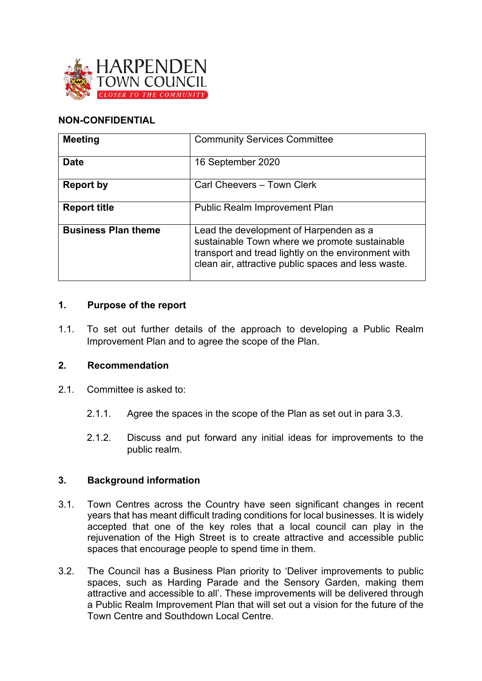

## **NON-CONFIDENTIAL**

| <b>Meeting</b>             | <b>Community Services Committee</b>                                                                                                                                                                   |
|----------------------------|-------------------------------------------------------------------------------------------------------------------------------------------------------------------------------------------------------|
| <b>Date</b>                | 16 September 2020                                                                                                                                                                                     |
| <b>Report by</b>           | Carl Cheevers - Town Clerk                                                                                                                                                                            |
| <b>Report title</b>        | <b>Public Realm Improvement Plan</b>                                                                                                                                                                  |
| <b>Business Plan theme</b> | Lead the development of Harpenden as a<br>sustainable Town where we promote sustainable<br>transport and tread lightly on the environment with<br>clean air, attractive public spaces and less waste. |

### **1. Purpose of the report**

1.1. To set out further details of the approach to developing a Public Realm Improvement Plan and to agree the scope of the Plan.

### **2. Recommendation**

- 2.1. Committee is asked to:
	- 2.1.1. Agree the spaces in the scope of the Plan as set out in para 3.3.
	- 2.1.2. Discuss and put forward any initial ideas for improvements to the public realm.

### **3. Background information**

- 3.1. Town Centres across the Country have seen significant changes in recent years that has meant difficult trading conditions for local businesses. It is widely accepted that one of the key roles that a local council can play in the rejuvenation of the High Street is to create attractive and accessible public spaces that encourage people to spend time in them.
- 3.2. The Council has a Business Plan priority to 'Deliver improvements to public spaces, such as Harding Parade and the Sensory Garden, making them attractive and accessible to all'. These improvements will be delivered through a Public Realm Improvement Plan that will set out a vision for the future of the Town Centre and Southdown Local Centre.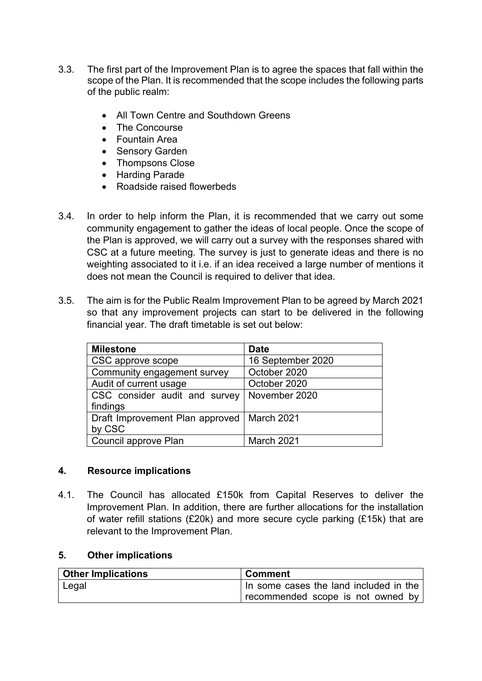- 3.3. The first part of the Improvement Plan is to agree the spaces that fall within the scope of the Plan. It is recommended that the scope includes the following parts of the public realm:
	- All Town Centre and Southdown Greens
	- The Concourse
	- Fountain Area
	- Sensory Garden
	- Thompsons Close
	- Harding Parade
	- Roadside raised flowerbeds
- 3.4. In order to help inform the Plan, it is recommended that we carry out some community engagement to gather the ideas of local people. Once the scope of the Plan is approved, we will carry out a survey with the responses shared with CSC at a future meeting. The survey is just to generate ideas and there is no weighting associated to it i.e. if an idea received a large number of mentions it does not mean the Council is required to deliver that idea.
- 3.5. The aim is for the Public Realm Improvement Plan to be agreed by March 2021 so that any improvement projects can start to be delivered in the following financial year. The draft timetable is set out below:

| <b>Milestone</b>                             | <b>Date</b>       |
|----------------------------------------------|-------------------|
| CSC approve scope                            | 16 September 2020 |
| Community engagement survey                  | October 2020      |
| Audit of current usage                       | October 2020      |
| CSC consider audit and survey                | November 2020     |
| findings                                     |                   |
| Draft Improvement Plan approved   March 2021 |                   |
| by CSC                                       |                   |
| Council approve Plan                         | March 2021        |

### **4. Resource implications**

4.1. The Council has allocated £150k from Capital Reserves to deliver the Improvement Plan. In addition, there are further allocations for the installation of water refill stations (£20k) and more secure cycle parking (£15k) that are relevant to the Improvement Plan.

### **5. Other implications**

| <b>Other Implications</b> | <b>Comment</b>                           |
|---------------------------|------------------------------------------|
| ∣ Legal                   | I In some cases the land included in the |
|                           | recommended scope is not owned by        |